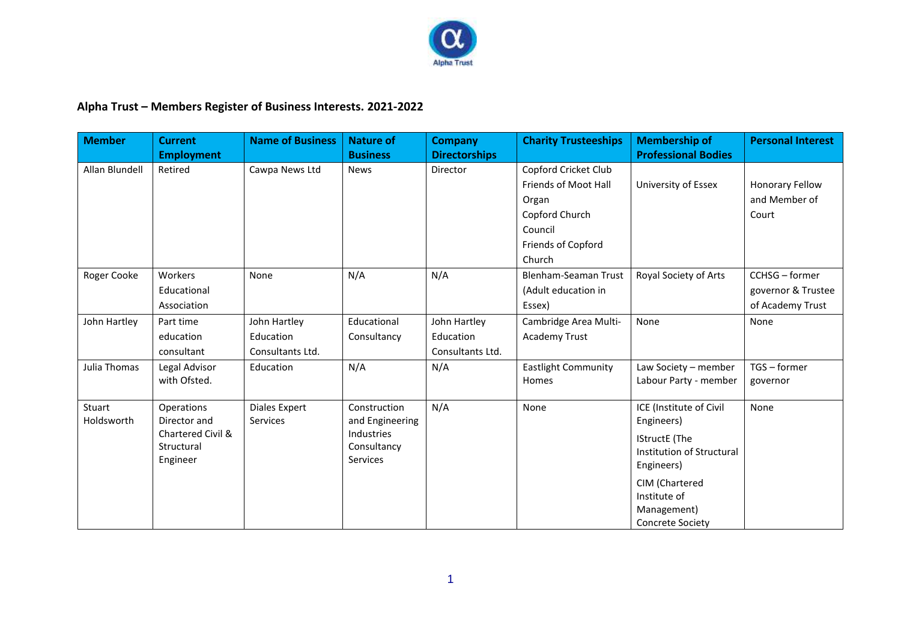

## **Alpha Trust – Members Register of Business Interests. 2021-2022**

| <b>Member</b>        | <b>Current</b><br><b>Employment</b>                                       | <b>Name of Business</b>                       | <b>Nature of</b><br><b>Business</b>                                             | <b>Company</b><br><b>Directorships</b>        | <b>Charity Trusteeships</b>                                                                                        | <b>Membership of</b><br><b>Professional Bodies</b>                                                                                                                                   | <b>Personal Interest</b>                                 |
|----------------------|---------------------------------------------------------------------------|-----------------------------------------------|---------------------------------------------------------------------------------|-----------------------------------------------|--------------------------------------------------------------------------------------------------------------------|--------------------------------------------------------------------------------------------------------------------------------------------------------------------------------------|----------------------------------------------------------|
| Allan Blundell       | Retired                                                                   | Cawpa News Ltd                                | <b>News</b>                                                                     | Director                                      | Copford Cricket Club<br>Friends of Moot Hall<br>Organ<br>Copford Church<br>Council<br>Friends of Copford<br>Church | University of Essex                                                                                                                                                                  | Honorary Fellow<br>and Member of<br>Court                |
| Roger Cooke          | Workers<br>Educational<br>Association                                     | None                                          | N/A                                                                             | N/A                                           | Blenham-Seaman Trust<br>(Adult education in<br>Essex)                                                              | Royal Society of Arts                                                                                                                                                                | CCHSG - former<br>governor & Trustee<br>of Academy Trust |
| John Hartley         | Part time<br>education<br>consultant                                      | John Hartley<br>Education<br>Consultants Ltd. | Educational<br>Consultancy                                                      | John Hartley<br>Education<br>Consultants Ltd. | Cambridge Area Multi-<br><b>Academy Trust</b>                                                                      | None                                                                                                                                                                                 | None                                                     |
| Julia Thomas         | Legal Advisor<br>with Ofsted.                                             | Education                                     | N/A                                                                             | N/A                                           | <b>Eastlight Community</b><br>Homes                                                                                | Law Society - member<br>Labour Party - member                                                                                                                                        | TGS - former<br>governor                                 |
| Stuart<br>Holdsworth | Operations<br>Director and<br>Chartered Civil &<br>Structural<br>Engineer | Diales Expert<br>Services                     | Construction<br>and Engineering<br><b>Industries</b><br>Consultancy<br>Services | N/A                                           | None                                                                                                               | ICE (Institute of Civil<br>Engineers)<br><b>IStructE</b> (The<br>Institution of Structural<br>Engineers)<br>CIM (Chartered<br>Institute of<br>Management)<br><b>Concrete Society</b> | None                                                     |